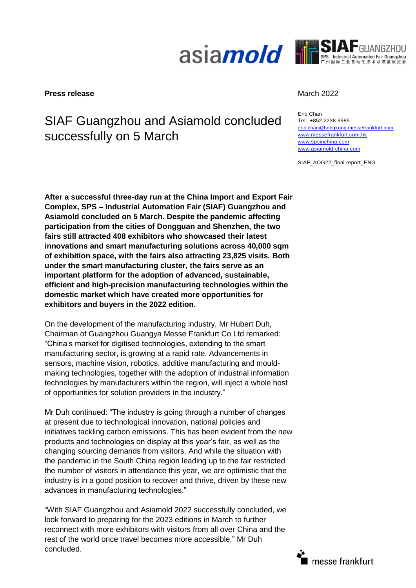



#### **Press release** March 2022

# SIAF Guangzhou and Asiamold concluded successfully on 5 March

Eric Chan Tel. +852 2238 9985 [eric.chan@hongkong.messefrankfurt.com](mailto:eric.chan@hongkong.messefrankfurt.com) [www.messefrankfurt.com.hk](http://www.messefrankfurt.com.hk/) [www.spsinchina.com](http://www.spsinchina.com/) [www.asiamold-china.com](http://www.asiamold-china.com/)

SIAF\_AOG22\_final report\_ENG

**After a successful three-day run at the China Import and Export Fair Complex, SPS – Industrial Automation Fair (SIAF) Guangzhou and Asiamold concluded on 5 March. Despite the pandemic affecting participation from the cities of Dongguan and Shenzhen, the two fairs still attracted 408 exhibitors who showcased their latest innovations and smart manufacturing solutions across 40,000 sqm of exhibition space, with the fairs also attracting 23,825 visits. Both under the smart manufacturing cluster, the fairs serve as an important platform for the adoption of advanced, sustainable, efficient and high-precision manufacturing technologies within the domestic market which have created more opportunities for exhibitors and buyers in the 2022 edition.** 

On the development of the manufacturing industry, Mr Hubert Duh, Chairman of Guangzhou Guangya Messe Frankfurt Co Ltd remarked: "China's market for digitised technologies, extending to the smart manufacturing sector, is growing at a rapid rate. Advancements in sensors, machine vision, robotics, additive manufacturing and mouldmaking technologies, together with the adoption of industrial information technologies by manufacturers within the region, will inject a whole host of opportunities for solution providers in the industry."

Mr Duh continued: "The industry is going through a number of changes at present due to technological innovation, national policies and initiatives tackling carbon emissions. This has been evident from the new products and technologies on display at this year's fair, as well as the changing sourcing demands from visitors. And while the situation with the pandemic in the South China region leading up to the fair restricted the number of visitors in attendance this year, we are optimistic that the industry is in a good position to recover and thrive, driven by these new advances in manufacturing technologies."

"With SIAF Guangzhou and Asiamold 2022 successfully concluded, we look forward to preparing for the 2023 editions in March to further reconnect with more exhibitors with visitors from all over China and the rest of the world once travel becomes more accessible," Mr Duh concluded.

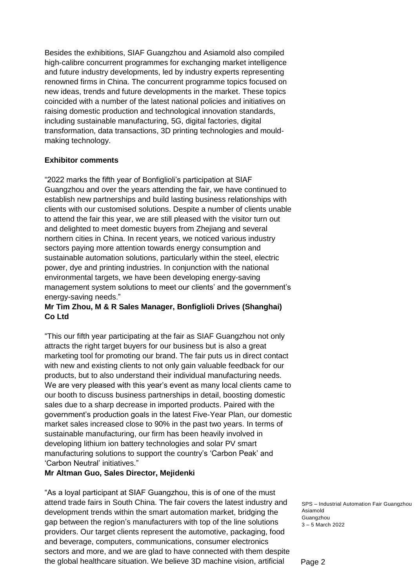Besides the exhibitions, SIAF Guangzhou and Asiamold also compiled high-calibre concurrent programmes for exchanging market intelligence and future industry developments, led by industry experts representing renowned firms in China. The concurrent programme topics focused on new ideas, trends and future developments in the market. These topics coincided with a number of the latest national policies and initiatives on raising domestic production and technological innovation standards, including sustainable manufacturing, 5G, digital factories, digital transformation, data transactions, 3D printing technologies and mouldmaking technology.

#### **Exhibitor comments**

"2022 marks the fifth year of Bonfiglioli's participation at SIAF Guangzhou and over the years attending the fair, we have continued to establish new partnerships and build lasting business relationships with clients with our customised solutions. Despite a number of clients unable to attend the fair this year, we are still pleased with the visitor turn out and delighted to meet domestic buyers from Zhejiang and several northern cities in China. In recent years, we noticed various industry sectors paying more attention towards energy consumption and sustainable automation solutions, particularly within the steel, electric power, dye and printing industries. In conjunction with the national environmental targets, we have been developing energy-saving management system solutions to meet our clients' and the government's energy-saving needs."

### **Mr Tim Zhou, M & R Sales Manager, Bonfiglioli Drives (Shanghai) Co Ltd**

"This our fifth year participating at the fair as SIAF Guangzhou not only attracts the right target buyers for our business but is also a great marketing tool for promoting our brand. The fair puts us in direct contact with new and existing clients to not only gain valuable feedback for our products, but to also understand their individual manufacturing needs. We are very pleased with this year's event as many local clients came to our booth to discuss business partnerships in detail, boosting domestic sales due to a sharp decrease in imported products. Paired with the government's production goals in the latest Five-Year Plan, our domestic market sales increased close to 90% in the past two years. In terms of sustainable manufacturing, our firm has been heavily involved in developing lithium ion battery technologies and solar PV smart manufacturing solutions to support the country's 'Carbon Peak' and 'Carbon Neutral' initiatives."

#### **Mr Altman Guo, Sales Director, Mejidenki**

"As a loyal participant at SIAF Guangzhou, this is of one of the must attend trade fairs in South China. The fair covers the latest industry and development trends within the smart automation market, bridging the gap between the region's manufacturers with top of the line solutions providers. Our target clients represent the automotive, packaging, food and beverage, computers, communications, consumer electronics sectors and more, and we are glad to have connected with them despite the global healthcare situation. We believe 3D machine vision, artificial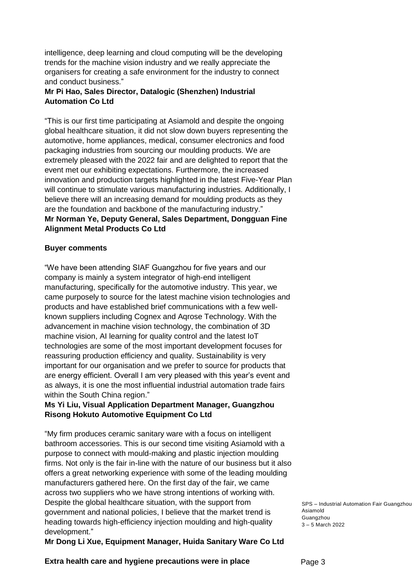intelligence, deep learning and cloud computing will be the developing trends for the machine vision industry and we really appreciate the organisers for creating a safe environment for the industry to connect and conduct business."

## **Mr Pi Hao, Sales Director, Datalogic (Shenzhen) Industrial Automation Co Ltd**

"This is our first time participating at Asiamold and despite the ongoing global healthcare situation, it did not slow down buyers representing the automotive, home appliances, medical, consumer electronics and food packaging industries from sourcing our moulding products. We are extremely pleased with the 2022 fair and are delighted to report that the event met our exhibiting expectations. Furthermore, the increased innovation and production targets highlighted in the latest Five-Year Plan will continue to stimulate various manufacturing industries. Additionally, I believe there will an increasing demand for moulding products as they are the foundation and backbone of the manufacturing industry." **Mr Norman Ye, Deputy General, Sales Department, Dongguan Fine Alignment Metal Products Co Ltd**

#### **Buyer comments**

"We have been attending SIAF Guangzhou for five years and our company is mainly a system integrator of high-end intelligent manufacturing, specifically for the automotive industry. This year, we came purposely to source for the latest machine vision technologies and products and have established brief communications with a few wellknown suppliers including Cognex and Aqrose Technology. With the advancement in machine vision technology, the combination of 3D machine vision, AI learning for quality control and the latest IoT technologies are some of the most important development focuses for reassuring production efficiency and quality. Sustainability is very important for our organisation and we prefer to source for products that are energy efficient. Overall I am very pleased with this year's event and as always, it is one the most influential industrial automation trade fairs within the South China region."

### **Ms Yi Liu, Visual Application Department Manager, Guangzhou Risong Hokuto Automotive Equipment Co Ltd**

"My firm produces ceramic sanitary ware with a focus on intelligent bathroom accessories. This is our second time visiting Asiamold with a purpose to connect with mould-making and plastic injection moulding firms. Not only is the fair in-line with the nature of our business but it also offers a great networking experience with some of the leading moulding manufacturers gathered here. On the first day of the fair, we came across two suppliers who we have strong intentions of working with. Despite the global healthcare situation, with the support from government and national policies, I believe that the market trend is heading towards high-efficiency injection moulding and high-quality development."

**Mr Dong Li Xue, Equipment Manager, Huida Sanitary Ware Co Ltd**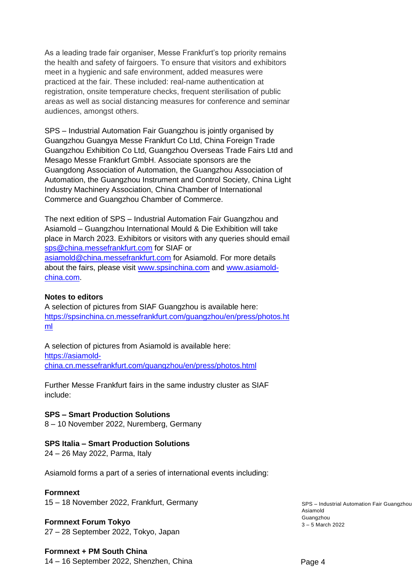As a leading trade fair organiser, Messe Frankfurt's top priority remains the health and safety of fairgoers. To ensure that visitors and exhibitors meet in a hygienic and safe environment, added measures were practiced at the fair. These included: real-name authentication at registration, onsite temperature checks, frequent sterilisation of public areas as well as social distancing measures for conference and seminar audiences, amongst others.

SPS – Industrial Automation Fair Guangzhou is jointly organised by Guangzhou Guangya Messe Frankfurt Co Ltd, China Foreign Trade Guangzhou Exhibition Co Ltd, Guangzhou Overseas Trade Fairs Ltd and Mesago Messe Frankfurt GmbH. Associate sponsors are the Guangdong Association of Automation, the Guangzhou Association of Automation, the Guangzhou Instrument and Control Society, China Light Industry Machinery Association, China Chamber of International Commerce and Guangzhou Chamber of Commerce.

The next edition of SPS – Industrial Automation Fair Guangzhou and Asiamold – Guangzhou International Mould & Die Exhibition will take place in March 2023. Exhibitors or visitors with any queries should email [sps@china.messefrankfurt.com](mailto:sps@china.messefrankfurt.com) for SIAF or [asiamold@china.messefrankfurt.com](mailto:asiamold@china.messefrankfurt.com) for Asiamold. For more details about the fairs, please visit [www.spsinchina.com](http://www.spsinchina.com/) and [www.asiamold](http://www.asiamold-china.com/)[china.com.](http://www.asiamold-china.com/)

#### **Notes to editors**

A selection of pictures from SIAF Guangzhou is available here: [https://spsinchina.cn.messefrankfurt.com/guangzhou/en/press/photos.ht](https://spsinchina.cn.messefrankfurt.com/guangzhou/en/press/photos.html) [ml](https://spsinchina.cn.messefrankfurt.com/guangzhou/en/press/photos.html)

A selection of pictures from Asiamold is available here: [https://asiamold](https://asiamold-china.cn.messefrankfurt.com/guangzhou/en/press/photos.html)[china.cn.messefrankfurt.com/guangzhou/en/press/photos.html](https://asiamold-china.cn.messefrankfurt.com/guangzhou/en/press/photos.html)

Further Messe Frankfurt fairs in the same industry cluster as SIAF include:

**SPS – Smart Production Solutions** 8 – 10 November 2022, Nuremberg, Germany

#### **SPS Italia – Smart Production Solutions**

24 – 26 May 2022, Parma, Italy

Asiamold forms a part of a series of international events including:

#### **Formnext**

15 – 18 November 2022, Frankfurt, Germany

#### **Formnext Forum Tokyo**

27 – 28 September 2022, Tokyo, Japan

#### **Formnext + PM South China**

14 – 16 September 2022, Shenzhen, China